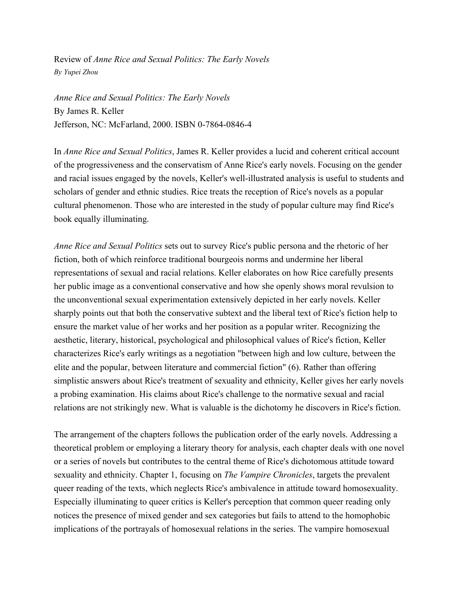Review of *Anne Rice and Sexual Politics: The Early Novels By Yupei Zhou*

*Anne Rice and Sexual Politics: The Early Novels* By James R. Keller Jefferson, NC: McFarland, 2000. ISBN 0-7864-0846-4

In *Anne Rice and Sexual Politics*, James R. Keller provides a lucid and coherent critical account of the progressiveness and the conservatism of Anne Rice's early novels. Focusing on the gender and racial issues engaged by the novels, Keller's well-illustrated analysis is useful to students and scholars of gender and ethnic studies. Rice treats the reception of Rice's novels as a popular cultural phenomenon. Those who are interested in the study of popular culture may find Rice's book equally illuminating.

*Anne Rice and Sexual Politics* sets out to survey Rice's public persona and the rhetoric of her fiction, both of which reinforce traditional bourgeois norms and undermine her liberal representations of sexual and racial relations. Keller elaborates on how Rice carefully presents her public image as a conventional conservative and how she openly shows moral revulsion to the unconventional sexual experimentation extensively depicted in her early novels. Keller sharply points out that both the conservative subtext and the liberal text of Rice's fiction help to ensure the market value of her works and her position as a popular writer. Recognizing the aesthetic, literary, historical, psychological and philosophical values of Rice's fiction, Keller characterizes Rice's early writings as a negotiation "between high and low culture, between the elite and the popular, between literature and commercial fiction" (6). Rather than offering simplistic answers about Rice's treatment of sexuality and ethnicity, Keller gives her early novels a probing examination. His claims about Rice's challenge to the normative sexual and racial relations are not strikingly new. What is valuable is the dichotomy he discovers in Rice's fiction.

The arrangement of the chapters follows the publication order of the early novels. Addressing a theoretical problem or employing a literary theory for analysis, each chapter deals with one novel or a series of novels but contributes to the central theme of Rice's dichotomous attitude toward sexuality and ethnicity. Chapter 1, focusing on *The Vampire Chronicles*, targets the prevalent queer reading of the texts, which neglects Rice's ambivalence in attitude toward homosexuality. Especially illuminating to queer critics is Keller's perception that common queer reading only notices the presence of mixed gender and sex categories but fails to attend to the homophobic implications of the portrayals of homosexual relations in the series. The vampire homosexual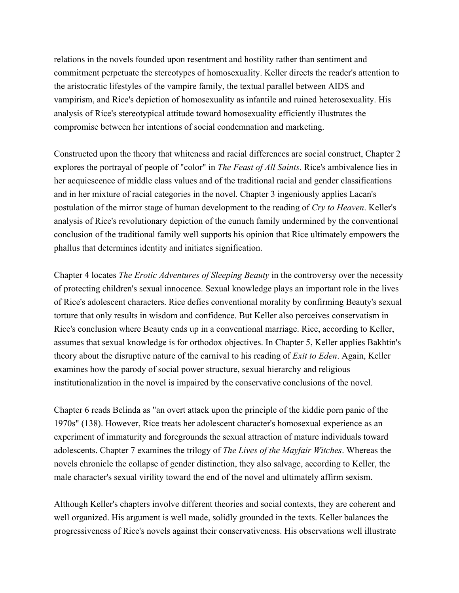relations in the novels founded upon resentment and hostility rather than sentiment and commitment perpetuate the stereotypes of homosexuality. Keller directs the reader's attention to the aristocratic lifestyles of the vampire family, the textual parallel between AIDS and vampirism, and Rice's depiction of homosexuality as infantile and ruined heterosexuality. His analysis of Rice's stereotypical attitude toward homosexuality efficiently illustrates the compromise between her intentions of social condemnation and marketing.

Constructed upon the theory that whiteness and racial differences are social construct, Chapter 2 explores the portrayal of people of "color" in *The Feast of All Saints*. Rice's ambivalence lies in her acquiescence of middle class values and of the traditional racial and gender classifications and in her mixture of racial categories in the novel. Chapter 3 ingeniously applies Lacan's postulation of the mirror stage of human development to the reading of *Cry to Heaven*. Keller's analysis of Rice's revolutionary depiction of the eunuch family undermined by the conventional conclusion of the traditional family well supports his opinion that Rice ultimately empowers the phallus that determines identity and initiates signification.

Chapter 4 locates *The Erotic Adventures of Sleeping Beauty* in the controversy over the necessity of protecting children's sexual innocence. Sexual knowledge plays an important role in the lives of Rice's adolescent characters. Rice defies conventional morality by confirming Beauty's sexual torture that only results in wisdom and confidence. But Keller also perceives conservatism in Rice's conclusion where Beauty ends up in a conventional marriage. Rice, according to Keller, assumes that sexual knowledge is for orthodox objectives. In Chapter 5, Keller applies Bakhtin's theory about the disruptive nature of the carnival to his reading of *Exit to Eden*. Again, Keller examines how the parody of social power structure, sexual hierarchy and religious institutionalization in the novel is impaired by the conservative conclusions of the novel.

Chapter 6 reads Belinda as "an overt attack upon the principle of the kiddie porn panic of the 1970s" (138). However, Rice treats her adolescent character's homosexual experience as an experiment of immaturity and foregrounds the sexual attraction of mature individuals toward adolescents. Chapter 7 examines the trilogy of *The Lives of the Mayfair Witches*. Whereas the novels chronicle the collapse of gender distinction, they also salvage, according to Keller, the male character's sexual virility toward the end of the novel and ultimately affirm sexism.

Although Keller's chapters involve different theories and social contexts, they are coherent and well organized. His argument is well made, solidly grounded in the texts. Keller balances the progressiveness of Rice's novels against their conservativeness. His observations well illustrate